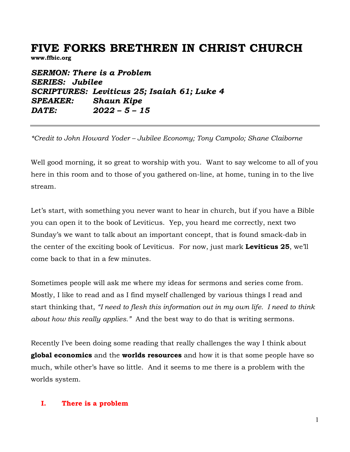# **FIVE FORKS BRETHREN IN CHRIST CHURCH**

**www.ffbic.org**

*SERMON: There is a Problem SERIES: Jubilee SCRIPTURES: Leviticus 25; Isaiah 61; Luke 4 SPEAKER: Shaun Kipe DATE: 2022 – 5 – 15* 

*\*Credit to John Howard Yoder – Jubilee Economy; Tony Campolo; Shane Claiborne*

Well good morning, it so great to worship with you. Want to say welcome to all of you here in this room and to those of you gathered on-line, at home, tuning in to the live stream.

Let's start, with something you never want to hear in church, but if you have a Bible you can open it to the book of Leviticus. Yep, you heard me correctly, next two Sunday's we want to talk about an important concept, that is found smack-dab in the center of the exciting book of Leviticus. For now, just mark **Leviticus 25**, we'll come back to that in a few minutes.

Sometimes people will ask me where my ideas for sermons and series come from. Mostly, I like to read and as I find myself challenged by various things I read and start thinking that, *"I need to flesh this information out in my own life. I need to think about how this really applies."* And the best way to do that is writing sermons.

Recently I've been doing some reading that really challenges the way I think about **global economics** and the **worlds resources** and how it is that some people have so much, while other's have so little. And it seems to me there is a problem with the worlds system.

#### **I. There is a problem**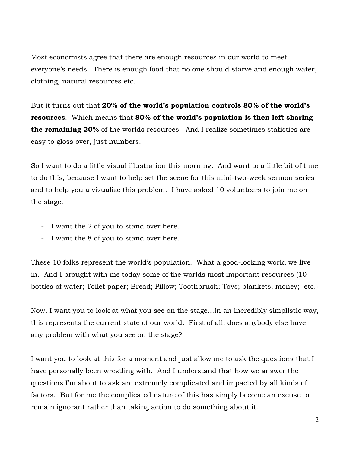Most economists agree that there are enough resources in our world to meet everyone's needs. There is enough food that no one should starve and enough water, clothing, natural resources etc.

But it turns out that **20% of the world's population controls 80% of the world's resources**. Which means that **80% of the world's population is then left sharing the remaining 20%** of the worlds resources. And I realize sometimes statistics are easy to gloss over, just numbers.

So I want to do a little visual illustration this morning. And want to a little bit of time to do this, because I want to help set the scene for this mini-two-week sermon series and to help you a visualize this problem. I have asked 10 volunteers to join me on the stage.

- I want the 2 of you to stand over here.
- I want the 8 of you to stand over here.

These 10 folks represent the world's population. What a good-looking world we live in. And I brought with me today some of the worlds most important resources (10 bottles of water; Toilet paper; Bread; Pillow; Toothbrush; Toys; blankets; money; etc.)

Now, I want you to look at what you see on the stage…in an incredibly simplistic way, this represents the current state of our world. First of all, does anybody else have any problem with what you see on the stage?

I want you to look at this for a moment and just allow me to ask the questions that I have personally been wrestling with. And I understand that how we answer the questions I'm about to ask are extremely complicated and impacted by all kinds of factors. But for me the complicated nature of this has simply become an excuse to remain ignorant rather than taking action to do something about it.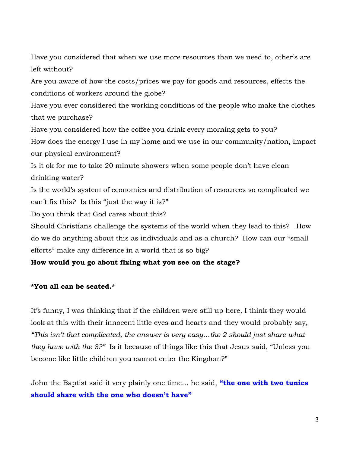Have you considered that when we use more resources than we need to, other's are left without?

Are you aware of how the costs/prices we pay for goods and resources, effects the conditions of workers around the globe?

Have you ever considered the working conditions of the people who make the clothes that we purchase?

Have you considered how the coffee you drink every morning gets to you?

How does the energy I use in my home and we use in our community/nation, impact our physical environment?

Is it ok for me to take 20 minute showers when some people don't have clean drinking water?

Is the world's system of economics and distribution of resources so complicated we can't fix this? Is this "just the way it is?"

Do you think that God cares about this?

Should Christians challenge the systems of the world when they lead to this? How do we do anything about this as individuals and as a church? How can our "small efforts" make any difference in a world that is so big?

### **How would you go about fixing what you see on the stage?**

### **\*You all can be seated.\***

It's funny, I was thinking that if the children were still up here, I think they would look at this with their innocent little eyes and hearts and they would probably say, *"This isn't that complicated, the answer is very easy…the 2 should just share what they have with the 8?"* Is it because of things like this that Jesus said, "Unless you become like little children you cannot enter the Kingdom?"

John the Baptist said it very plainly one time… he said, **"the one with two tunics should share with the one who doesn't have"**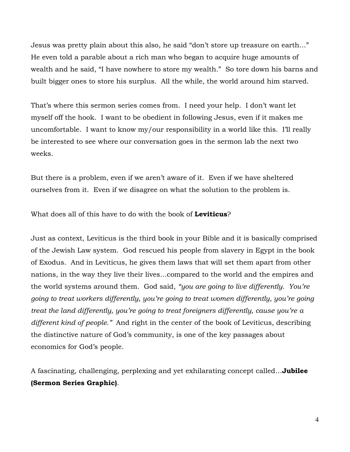Jesus was pretty plain about this also, he said "don't store up treasure on earth…" He even told a parable about a rich man who began to acquire huge amounts of wealth and he said, "I have nowhere to store my wealth." So tore down his barns and built bigger ones to store his surplus. All the while, the world around him starved.

That's where this sermon series comes from. I need your help. I don't want let myself off the hook. I want to be obedient in following Jesus, even if it makes me uncomfortable. I want to know my/our responsibility in a world like this. I'll really be interested to see where our conversation goes in the sermon lab the next two weeks.

But there is a problem, even if we aren't aware of it. Even if we have sheltered ourselves from it. Even if we disagree on what the solution to the problem is.

What does all of this have to do with the book of **Leviticus**?

Just as context, Leviticus is the third book in your Bible and it is basically comprised of the Jewish Law system. God rescued his people from slavery in Egypt in the book of Exodus. And in Leviticus, he gives them laws that will set them apart from other nations, in the way they live their lives…compared to the world and the empires and the world systems around them. God said, *"you are going to live differently. You're going to treat workers differently, you're going to treat women differently, you're going treat the land differently, you're going to treat foreigners differently, cause you're a different kind of people."* And right in the center of the book of Leviticus, describing the distinctive nature of God's community, is one of the key passages about economics for God's people.

A fascinating, challenging, perplexing and yet exhilarating concept called…**Jubilee (Sermon Series Graphic)**.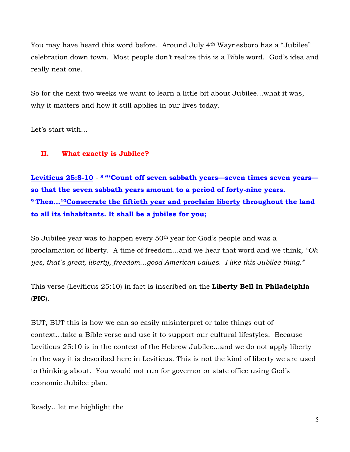You may have heard this word before. Around July 4th Waynesboro has a "Jubilee" celebration down town. Most people don't realize this is a Bible word. God's idea and really neat one.

So for the next two weeks we want to learn a little bit about Jubilee…what it was, why it matters and how it still applies in our lives today.

Let's start with…

### **II. What exactly is Jubilee?**

**Leviticus 25:8-10** - **<sup>8</sup> "'Count off seven sabbath years—seven times seven years so that the seven sabbath years amount to a period of forty-nine years. <sup>9</sup> Then…10Consecrate the fiftieth year and proclaim liberty throughout the land to all its inhabitants. It shall be a jubilee for you;** 

So Jubilee year was to happen every 50<sup>th</sup> year for God's people and was a proclamation of liberty. A time of freedom…and we hear that word and we think, *"Oh yes, that's great, liberty, freedom…good American values. I like this Jubilee thing."*

This verse (Leviticus 25:10) in fact is inscribed on the **Liberty Bell in Philadelphia** (**PIC**).

BUT, BUT this is how we can so easily misinterpret or take things out of context…take a Bible verse and use it to support our cultural lifestyles. Because Leviticus 25:10 is in the context of the Hebrew Jubilee…and we do not apply liberty in the way it is described here in Leviticus. This is not the kind of liberty we are used to thinking about. You would not run for governor or state office using God's economic Jubilee plan.

Ready…let me highlight the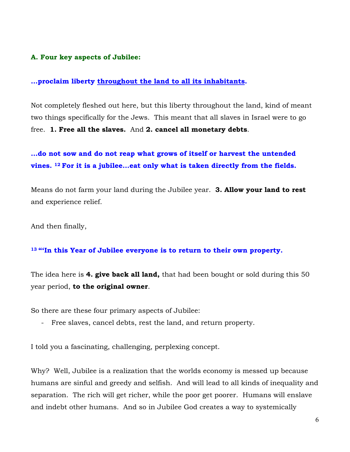#### **A. Four key aspects of Jubilee:**

#### **…proclaim liberty throughout the land to all its inhabitants.**

Not completely fleshed out here, but this liberty throughout the land, kind of meant two things specifically for the Jews. This meant that all slaves in Israel were to go free. **1. Free all the slaves.** And **2. cancel all monetary debts**.

## **…do not sow and do not reap what grows of itself or harvest the untended vines. 12 For it is a jubilee…eat only what is taken directly from the fields.**

Means do not farm your land during the Jubilee year. **3. Allow your land to rest** and experience relief.

And then finally,

#### **<sup>13</sup> "'In this Year of Jubilee everyone is to return to their own property.**

The idea here is **4. give back all land,** that had been bought or sold during this 50 year period, **to the original owner**.

So there are these four primary aspects of Jubilee:

- Free slaves, cancel debts, rest the land, and return property.

I told you a fascinating, challenging, perplexing concept.

Why? Well, Jubilee is a realization that the worlds economy is messed up because humans are sinful and greedy and selfish. And will lead to all kinds of inequality and separation. The rich will get richer, while the poor get poorer. Humans will enslave and indebt other humans. And so in Jubilee God creates a way to systemically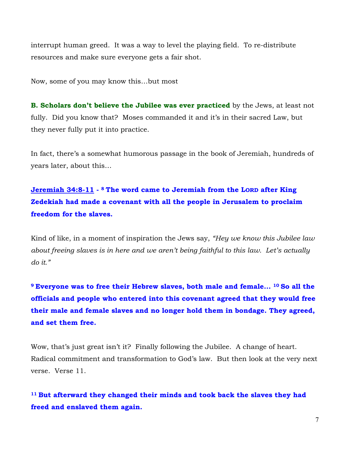interrupt human greed. It was a way to level the playing field. To re-distribute resources and make sure everyone gets a fair shot.

Now, some of you may know this…but most

**B. Scholars don't believe the Jubilee was ever practiced** by the Jews, at least not fully. Did you know that? Moses commanded it and it's in their sacred Law, but they never fully put it into practice.

In fact, there's a somewhat humorous passage in the book of Jeremiah, hundreds of years later, about this…

## **Jeremiah 34:8-11 - <sup>8</sup> The word came to Jeremiah from the LORD after King Zedekiah had made a covenant with all the people in Jerusalem to proclaim freedom for the slaves.**

Kind of like, in a moment of inspiration the Jews say, *"Hey we know this Jubilee law about freeing slaves is in here and we aren't being faithful to this law. Let's actually do it."* 

**<sup>9</sup> Everyone was to free their Hebrew slaves, both male and female... 10 So all the officials and people who entered into this covenant agreed that they would free their male and female slaves and no longer hold them in bondage. They agreed, and set them free.**

Wow, that's just great isn't it? Finally following the Jubilee. A change of heart. Radical commitment and transformation to God's law. But then look at the very next verse. Verse 11.

**<sup>11</sup> But afterward they changed their minds and took back the slaves they had freed and enslaved them again.**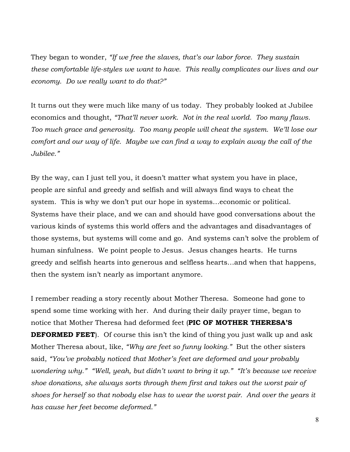They began to wonder, *"If we free the slaves, that's our labor force. They sustain these comfortable life-styles we want to have. This really complicates our lives and our economy. Do we really want to do that?"*

It turns out they were much like many of us today. They probably looked at Jubilee economics and thought, *"That'll never work. Not in the real world. Too many flaws. Too much grace and generosity. Too many people will cheat the system. We'll lose our comfort and our way of life. Maybe we can find a way to explain away the call of the Jubilee."*

By the way, can I just tell you, it doesn't matter what system you have in place, people are sinful and greedy and selfish and will always find ways to cheat the system. This is why we don't put our hope in systems…economic or political. Systems have their place, and we can and should have good conversations about the various kinds of systems this world offers and the advantages and disadvantages of those systems, but systems will come and go. And systems can't solve the problem of human sinfulness. We point people to Jesus. Jesus changes hearts. He turns greedy and selfish hearts into generous and selfless hearts…and when that happens, then the system isn't nearly as important anymore.

I remember reading a story recently about Mother Theresa. Someone had gone to spend some time working with her. And during their daily prayer time, began to notice that Mother Theresa had deformed feet (**PIC OF MOTHER THERESA'S DEFORMED FEET**). Of course this isn't the kind of thing you just walk up and ask Mother Theresa about, like, *"Why are feet so funny looking."* But the other sisters said, *"You've probably noticed that Mother's feet are deformed and your probably wondering why." "Well, yeah, but didn't want to bring it up." "It's because we receive shoe donations, she always sorts through them first and takes out the worst pair of shoes for herself so that nobody else has to wear the worst pair. And over the years it has cause her feet become deformed."*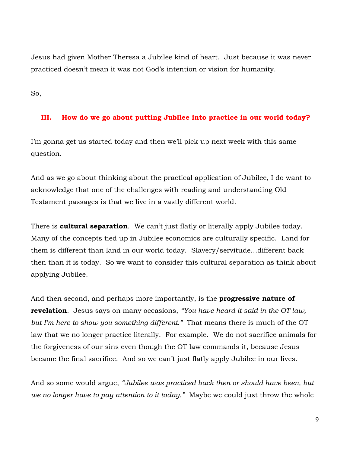Jesus had given Mother Theresa a Jubilee kind of heart. Just because it was never practiced doesn't mean it was not God's intention or vision for humanity.

So,

### **III. How do we go about putting Jubilee into practice in our world today?**

I'm gonna get us started today and then we'll pick up next week with this same question.

And as we go about thinking about the practical application of Jubilee, I do want to acknowledge that one of the challenges with reading and understanding Old Testament passages is that we live in a vastly different world.

There is **cultural separation**. We can't just flatly or literally apply Jubilee today. Many of the concepts tied up in Jubilee economics are culturally specific. Land for them is different than land in our world today. Slavery/servitude…different back then than it is today. So we want to consider this cultural separation as think about applying Jubilee.

And then second, and perhaps more importantly, is the **progressive nature of revelation**. Jesus says on many occasions, *"You have heard it said in the OT law, but I'm here to show you something different."* That means there is much of the OT law that we no longer practice literally. For example. We do not sacrifice animals for the forgiveness of our sins even though the OT law commands it, because Jesus became the final sacrifice. And so we can't just flatly apply Jubilee in our lives.

And so some would argue, *"Jubilee was practiced back then or should have been, but we no longer have to pay attention to it today."* Maybe we could just throw the whole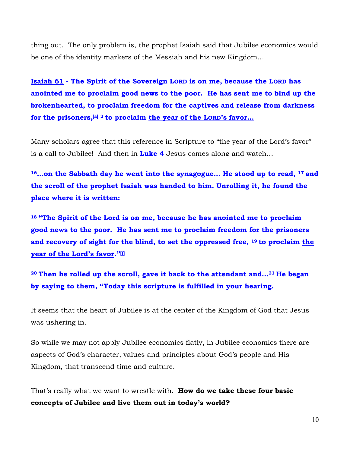thing out. The only problem is, the prophet Isaiah said that Jubilee economics would be one of the identity markers of the Messiah and his new Kingdom…

**Isaiah 61 - The Spirit of the Sovereign LORD is on me, because the LORD has anointed me to proclaim good news to the poor. He has sent me to bind up the brokenhearted, to proclaim freedom for the captives and release from darkness for the prisoners,[a] <sup>2</sup> to proclaim the year of the LORD's favor…** 

Many scholars agree that this reference in Scripture to "the year of the Lord's favor" is a call to Jubilee! And then in **Luke 4** Jesus comes along and watch…

**16…on the Sabbath day he went into the synagogue… He stood up to read, <sup>17</sup> and the scroll of the prophet Isaiah was handed to him. Unrolling it, he found the place where it is written:**

**<sup>18</sup> "The Spirit of the Lord is on me, because he has anointed me to proclaim good news to the poor. He has sent me to proclaim freedom for the prisoners and recovery of sight for the blind, to set the oppressed free, <sup>19</sup> to proclaim the year of the Lord's favor."[f]**

**<sup>20</sup> Then he rolled up the scroll, gave it back to the attendant and…21 He began by saying to them, "Today this scripture is fulfilled in your hearing.**

It seems that the heart of Jubilee is at the center of the Kingdom of God that Jesus was ushering in.

So while we may not apply Jubilee economics flatly, in Jubilee economics there are aspects of God's character, values and principles about God's people and His Kingdom, that transcend time and culture.

That's really what we want to wrestle with. **How do we take these four basic concepts of Jubilee and live them out in today's world?**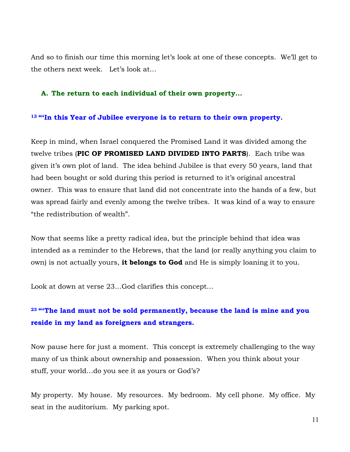And so to finish our time this morning let's look at one of these concepts. We'll get to the others next week. Let's look at…

#### **A. The return to each individual of their own property…**

#### **<sup>13</sup> "'In this Year of Jubilee everyone is to return to their own property.**

Keep in mind, when Israel conquered the Promised Land it was divided among the twelve tribes (**PIC OF PROMISED LAND DIVIDED INTO PARTS**). Each tribe was given it's own plot of land. The idea behind Jubilee is that every 50 years, land that had been bought or sold during this period is returned to it's original ancestral owner. This was to ensure that land did not concentrate into the hands of a few, but was spread fairly and evenly among the twelve tribes. It was kind of a way to ensure "the redistribution of wealth".

Now that seems like a pretty radical idea, but the principle behind that idea was intended as a reminder to the Hebrews, that the land (or really anything you claim to own) is not actually yours, **it belongs to God** and He is simply loaning it to you.

Look at down at verse 23…God clarifies this concept…

## **<sup>23</sup> "'The land must not be sold permanently, because the land is mine and you reside in my land as foreigners and strangers.**

Now pause here for just a moment. This concept is extremely challenging to the way many of us think about ownership and possession. When you think about your stuff, your world…do you see it as yours or God's?

My property. My house. My resources. My bedroom. My cell phone. My office. My seat in the auditorium. My parking spot.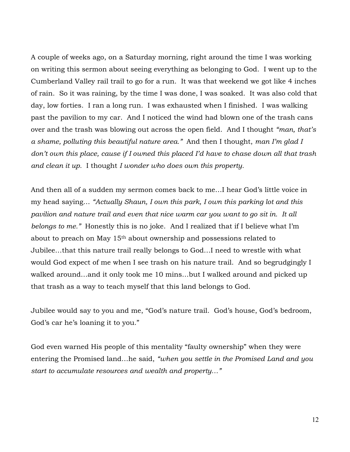A couple of weeks ago, on a Saturday morning, right around the time I was working on writing this sermon about seeing everything as belonging to God. I went up to the Cumberland Valley rail trail to go for a run. It was that weekend we got like 4 inches of rain. So it was raining, by the time I was done, I was soaked. It was also cold that day, low forties. I ran a long run. I was exhausted when I finished. I was walking past the pavilion to my car. And I noticed the wind had blown one of the trash cans over and the trash was blowing out across the open field. And I thought *"man, that's a shame, polluting this beautiful nature area."* And then I thought, *man I'm glad I don't own this place, cause if I owned this placed I'd have to chase down all that trash and clean it up.* I thought *I wonder who does own this property.*

And then all of a sudden my sermon comes back to me…I hear God's little voice in my head saying… *"Actually Shaun, I own this park, I own this parking lot and this pavilion and nature trail and even that nice warm car you want to go sit in. It all belongs to me."* Honestly this is no joke. And I realized that if I believe what I'm about to preach on May 15th about ownership and possessions related to Jubilee…that this nature trail really belongs to God…I need to wrestle with what would God expect of me when I see trash on his nature trail. And so begrudgingly I walked around…and it only took me 10 mins…but I walked around and picked up that trash as a way to teach myself that this land belongs to God.

Jubilee would say to you and me, "God's nature trail. God's house, God's bedroom, God's car he's loaning it to you."

God even warned His people of this mentality "faulty ownership" when they were entering the Promised land…he said, *"when you settle in the Promised Land and you start to accumulate resources and wealth and property…"*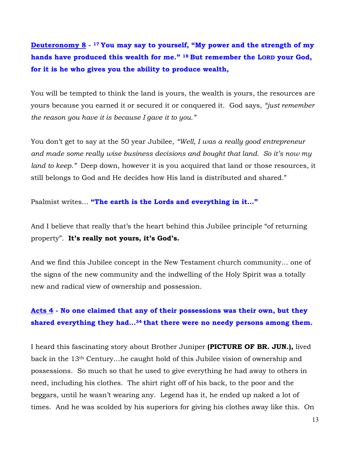**Deuteronomy 8 - <sup>17</sup> You may say to yourself, "My power and the strength of my hands have produced this wealth for me." <sup>18</sup> But remember the LORD your God, for it is he who gives you the ability to produce wealth,**

You will be tempted to think the land is yours, the wealth is yours, the resources are yours because you earned it or secured it or conquered it. God says, *"just remember the reason you have it is because I gave it to you."*

You don't get to say at the 50 year Jubilee, *"Well, I was a really good entrepreneur and made some really wise business decisions and bought that land. So it's now my land to keep."* Deep down, however it is you acquired that land or those resources, it still belongs to God and He decides how His land is distributed and shared."

Psalmist writes… **"The earth is the Lords and everything in it…"**

And I believe that really that's the heart behind this Jubilee principle "of returning property". **It's really not yours, it's God's.**

And we find this Jubilee concept in the New Testament church community… one of the signs of the new community and the indwelling of the Holy Spirit was a totally new and radical view of ownership and possession.

## **Acts 4 - No one claimed that any of their possessions was their own, but they shared everything they had…34 that there were no needy persons among them.**

I heard this fascinating story about Brother Juniper **(PICTURE OF BR. JUN.),** lived back in the 13th Century…he caught hold of this Jubilee vision of ownership and possessions. So much so that he used to give everything he had away to others in need, including his clothes. The shirt right off of his back, to the poor and the beggars, until he wasn't wearing any. Legend has it, he ended up naked a lot of times. And he was scolded by his superiors for giving his clothes away like this. On